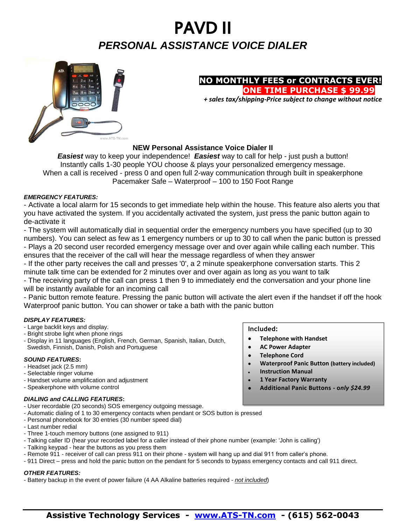# PAVD II *PERSONAL ASSISTANCE VOICE DIALER*



#### **NO MONTHLY FEES or CONTRACTS EVER! ONE TIME PURCHASE \$ 99.99**

 *+ sales tax/shipping-Price subject to change without notice*

#### **NEW Personal Assistance Voice Dialer II**

*Easiest* way to keep your independence! *Easiest* way to call for help - just push a button! Instantly calls 1-30 people YOU choose & plays your personalized emergency message. When a call is received - press 0 and open full 2-way communication through built in speakerphone Pacemaker Safe – Waterproof – 100 to 150 Foot Range

#### *EMERGENCY FEATURES:*

- Activate a local alarm for 15 seconds to get immediate help within the house. This feature also alerts you that you have activated the system. If you accidentally activated the system, just press the panic button again to de-activate it

- The system will automatically dial in sequential order the emergency numbers you have specified (up to 30 numbers). You can select as few as 1 emergency numbers or up to 30 to call when the panic button is pressed - Plays a 20 second user recorded emergency message over and over again while calling each number. This ensures that the receiver of the call will hear the message regardless of when they answer

- If the other party receives the call and presses '0', a 2 minute speakerphone conversation starts. This 2 minute talk time can be extended for 2 minutes over and over again as long as you want to talk

- The receiving party of the call can press 1 then 9 to immediately end the conversation and your phone line will be instantly available for an incoming call

- Panic button remote feature. Pressing the panic button will activate the alert even if the handset if off the hook Waterproof panic button. You can shower or take a bath with the panic button

#### *DISPLAY FEATURES:*

- Large backlit keys and display.
- Bright strobe light when phone rings
- Display in 11 languages (English, French, German, Spanish, Italian, Dutch, Swedish, Finnish, Danish, Polish and Portuguese

#### *SOUND FEATURES***:**

- Headset jack (2.5 mm)
- Selectable ringer volume
- Handset volume amplification and adjustment
- Speakerphone with volume control

#### *DIALING and CALLING FEATURES***:**

- User recordable (20 seconds) SOS emergency outgoing message.
- Automatic dialing of 1 to 30 emergency contacts when pendant or SOS button is pressed
- Personal phonebook for 30 entries (30 number speed dial)
- Last number redial
- Three 1-touch memory buttons (one assigned to 911)
- Talking caller ID (hear your recorded label for a caller instead of their phone number (example: 'John is calling')
- Talking keypad hear the buttons as you press them
- Remote 911 receiver of call can press 911 on their phone system will hang up and dial 911 from caller's phone.
- 911 Direct press and hold the panic button on the pendant for 5 seconds to bypass emergency contacts and call 911 direct.

#### *OTHER FEATURES:*

- Battery backup in the event of power failure (4 AA Alkaline batteries required - *not included*)

## **Assistive Technology Services - [www.ATS-TN.com](http://www.ats-tn.com/) - (615) 562-0043**

- **Included:**
- **Telephone with Handset**
- **AC Power Adapter**
- **Telephone Cord**
- **Waterproof Panic Button (battery included)**
- **Instruction Manual**
- **1 Year Factory Warranty**
- **Additional Panic Buttons - o***nly \$24.99*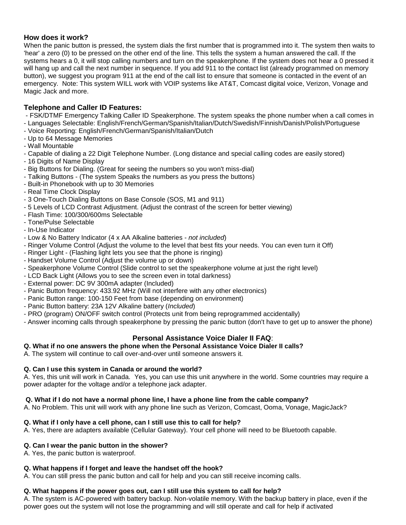#### **How does it work?**

When the panic button is pressed, the system dials the first number that is programmed into it. The system then waits to 'hear' a zero (0) to be pressed on the other end of the line. This tells the system a human answered the call. If the systems hears a 0, it will stop calling numbers and turn on the speakerphone. If the system does not hear a 0 pressed it will hang up and call the next number in sequence. If you add 911 to the contact list (already programmed on memory button), we suggest you program 911 at the end of the call list to ensure that someone is contacted in the event of an emergency. Note: This system WILL work with VOIP systems like AT&T, Comcast digital voice, Verizon, Vonage and Magic Jack and more.

#### **Telephone and Caller ID Features:**

- FSK/DTMF Emergency Talking Caller ID Speakerphone. The system speaks the phone number when a call comes in
- Languages Selectable: English/French/German/Spanish/Italian/Dutch/Swedish/Finnish/Danish/Polish/Portuguese
- Voice Reporting: English/French/German/Spanish/Italian/Dutch
- Up to 64 Message Memories
- Wall Mountable
- Capable of dialing a 22 Digit Telephone Number. (Long distance and special calling codes are easily stored)
- 16 Digits of Name Display
- Big Buttons for Dialing. (Great for seeing the numbers so you won't miss-dial)
- Talking Buttons (The system Speaks the numbers as you press the buttons)
- Built-in Phonebook with up to 30 Memories
- Real Time Clock Display
- 3 One-Touch Dialing Buttons on Base Console (SOS, M1 and 911)
- 5 Levels of LCD Contrast Adjustment. (Adjust the contrast of the screen for better viewing)
- Flash Time: 100/300/600ms Selectable
- Tone/Pulse Selectable
- In-Use Indicator
- Low & No Battery Indicator (4 x AA Alkaline batteries *not included*)
- Ringer Volume Control (Adjust the volume to the level that best fits your needs. You can even turn it Off)
- Ringer Light (Flashing light lets you see that the phone is ringing)
- Handset Volume Control (Adjust the volume up or down)
- Speakerphone Volume Control (Slide control to set the speakerphone volume at just the right level)
- LCD Back Light (Allows you to see the screen even in total darkness)
- External power: DC 9V 300mA adapter (Included)
- Panic Button frequency: 433.92 MHz (Will not interfere with any other electronics)
- Panic Button range: 100-150 Feet from base (depending on environment)
- Panic Button battery: 23A 12V Alkaline battery (*Included*)
- PRO (program) ON/OFF switch control (Protects unit from being reprogrammed accidentally)
- Answer incoming calls through speakerphone by pressing the panic button (don't have to get up to answer the phone)

#### **Personal Assistance Voice Dialer II FAQ**:

#### **Q. What if no one answers the phone when the Personal Assistance Voice Dialer II calls?**

A. The system will continue to call over-and-over until someone answers it.

#### **Q. Can I use this system in Canada or around the world?**

A. Yes, this unit will work in Canada. Yes, you can use this unit anywhere in the world. Some countries may require a power adapter for the voltage and/or a telephone jack adapter.

#### **Q. What if I do not have a normal phone line, I have a phone line from the cable company?**

A. No Problem. This unit will work with any phone line such as Verizon, Comcast, Ooma, Vonage, MagicJack?

#### **Q. What if I only have a cell phone, can I still use this to call for help?**

A. Yes, there are adapters available (Cellular Gateway). Your cell phone will need to be Bluetooth capable.

#### **Q. Can I wear the panic button in the shower?**

A. Yes, the panic button is waterproof.

#### **Q. What happens if I forget and leave the handset off the hook?**

A. You can still press the panic button and call for help and you can still receive incoming calls.

#### **Q. What happens if the power goes out, can I still use this system to call for help?**

A. The system is AC-powered with battery backup. Non-volatile memory. With the backup battery in place, even if the power goes out the system will not lose the programming and will still operate and call for help if activated